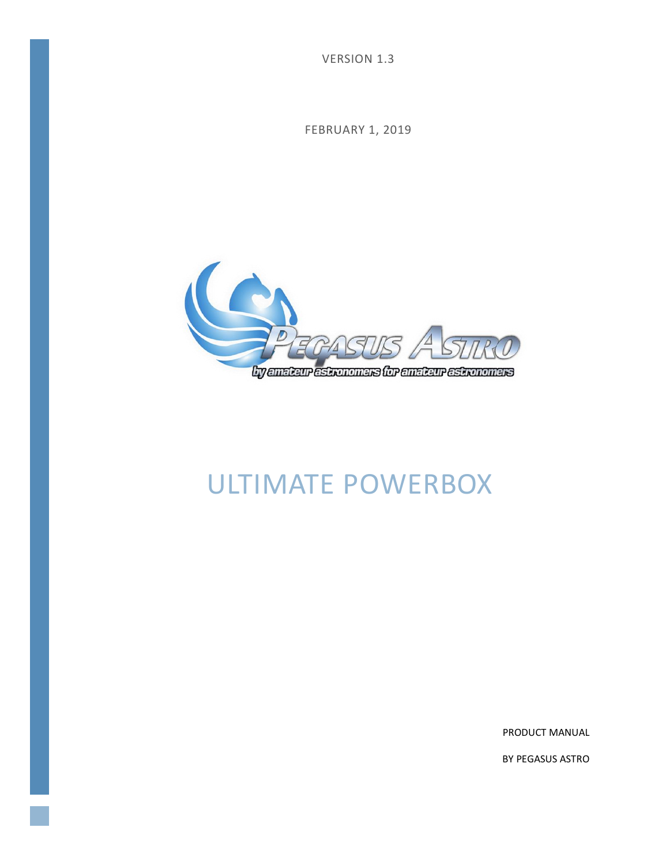VERSION 1.3

FEBRUARY 1, 2019



# ULTIMATE POWERBOX

PRODUCT MANUAL

BY PEGASUS ASTRO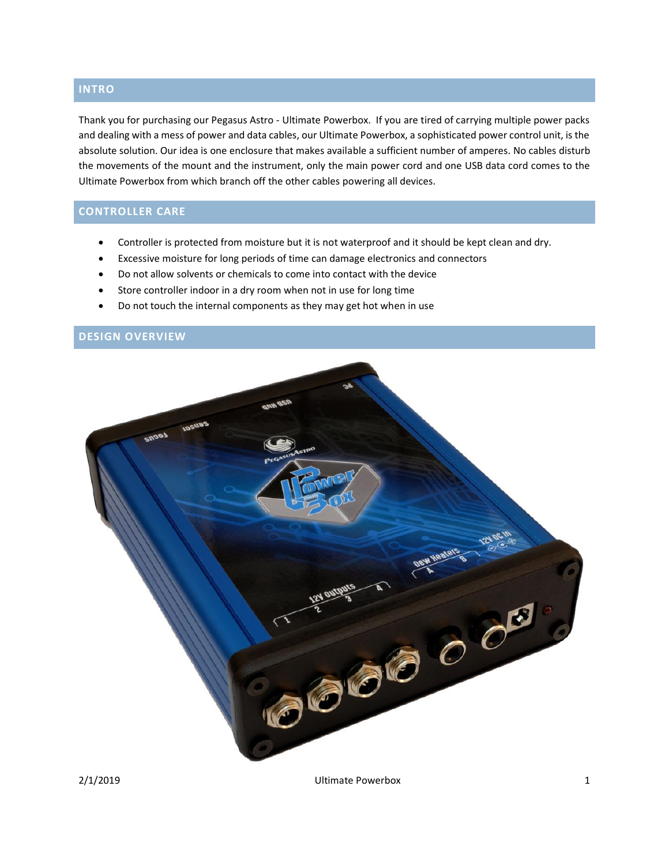### **INTRO**

Thank you for purchasing our Pegasus Astro - Ultimate Powerbox. If you are tired of carrying multiple power packs and dealing with a mess of power and data cables, our Ultimate Powerbox, a sophisticated power control unit, is the absolute solution. Our idea is one enclosure that makes available a sufficient number of amperes. No cables disturb the movements of the mount and the instrument, only the main power cord and one USB data cord comes to the Ultimate Powerbox from which branch off the other cables powering all devices.

# **CONTROLLER CARE**

- Controller is protected from moisture but it is not waterproof and it should be kept clean and dry.
- Excessive moisture for long periods of time can damage electronics and connectors
- Do not allow solvents or chemicals to come into contact with the device
- Store controller indoor in a dry room when not in use for long time
- Do not touch the internal components as they may get hot when in use

# **DESIGN OVERVIEW**



2/1/2019 Ultimate Powerbox 1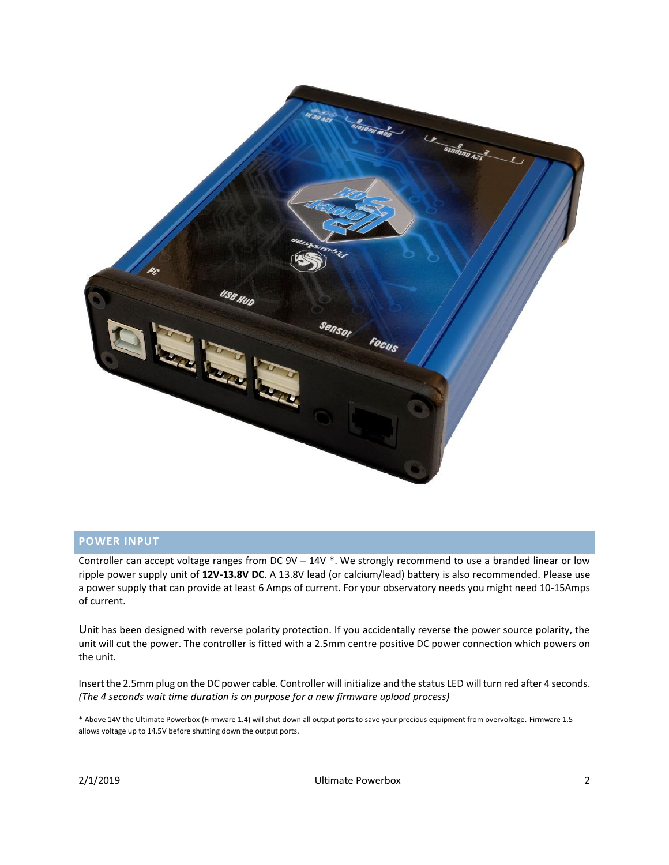

#### **POWER INPUT**

Controller can accept voltage ranges from DC 9V – 14V \*. We strongly recommend to use a branded linear or low ripple power supply unit of **12V-13.8V DC**. A 13.8V lead (or calcium/lead) battery is also recommended. Please use a power supply that can provide at least 6 Amps of current. For your observatory needs you might need 10-15Amps of current.

Unit has been designed with reverse polarity protection. If you accidentally reverse the power source polarity, the unit will cut the power. The controller is fitted with a 2.5mm centre positive DC power connection which powers on the unit.

Insert the 2.5mm plug on the DC power cable. Controller will initialize and the status LED will turn red after 4 seconds. *(The 4 seconds wait time duration is on purpose for a new firmware upload process)*

\* Above 14V the Ultimate Powerbox (Firmware 1.4) will shut down all output ports to save your precious equipment from overvoltage. Firmware 1.5 allows voltage up to 14.5V before shutting down the output ports.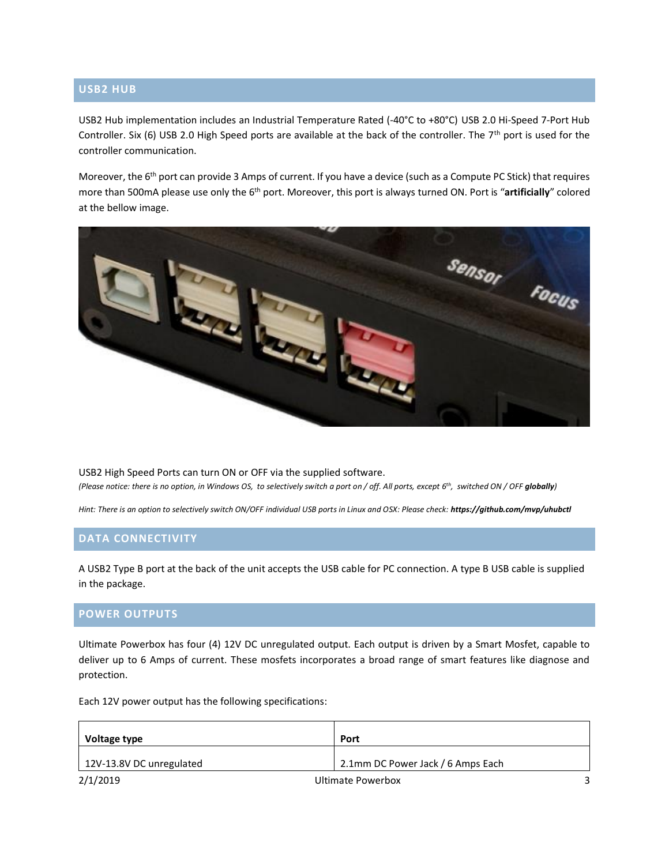#### **USB2 HUB**

USB2 Hub implementation includes an Industrial Temperature Rated (-40°C to +80°C) USB 2.0 Hi-Speed 7-Port Hub Controller. Six (6) USB 2.0 High Speed ports are available at the back of the controller. The 7<sup>th</sup> port is used for the controller communication.

Moreover, the 6<sup>th</sup> port can provide 3 Amps of current. If you have a device (such as a Compute PC Stick) that requires more than 500mA please use only the 6th port. Moreover, this port is always turned ON. Port is "**artificially**" colored at the bellow image.



USB2 High Speed Ports can turn ON or OFF via the supplied software. *(Please notice: there is no option, in Windows OS, to selectively switch a port on / off. All ports, except 6th , switched ON / OFF globally)*

*Hint: There is an option to selectively switch ON/OFF individual USB ports in Linux and OSX: Please check: https://github.com/mvp/uhubctl*

#### **DATA CONNECTIVITY**

A USB2 Type B port at the back of the unit accepts the USB cable for PC connection. A type B USB cable is supplied in the package.

#### **POWER OUTPUTS**

Ultimate Powerbox has four (4) 12V DC unregulated output. Each output is driven by a Smart Mosfet, capable to deliver up to 6 Amps of current. These mosfets incorporates a broad range of smart features like diagnose and protection.

Each 12V power output has the following specifications:

| Voltage type             | Port                              |  |
|--------------------------|-----------------------------------|--|
| 12V-13.8V DC unregulated | 2.1mm DC Power Jack / 6 Amps Each |  |
| 2/1/2019                 | <b>Ultimate Powerbox</b>          |  |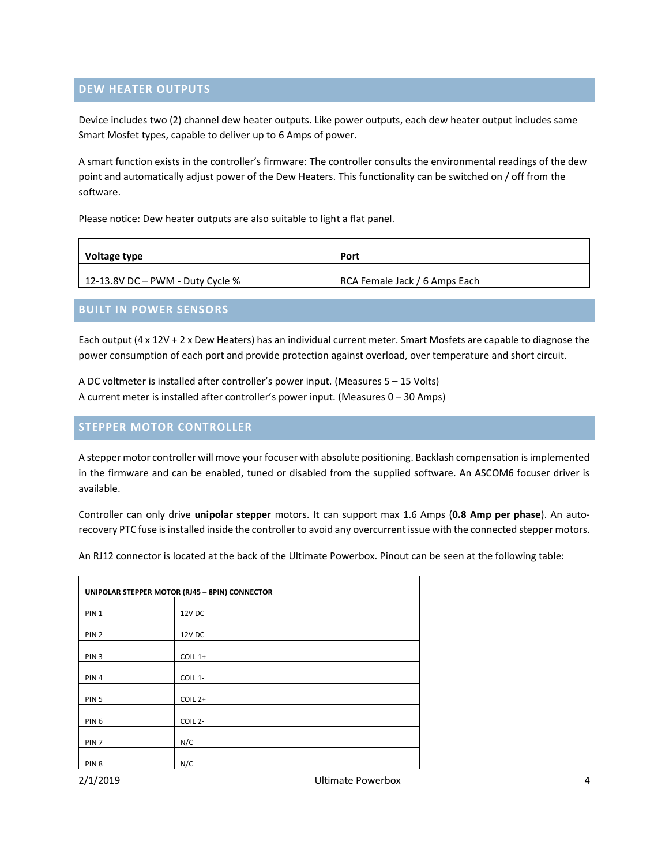#### **DEW HEATER OUTPUTS**

Device includes two (2) channel dew heater outputs. Like power outputs, each dew heater output includes same Smart Mosfet types, capable to deliver up to 6 Amps of power.

A smart function exists in the controller's firmware: The controller consults the environmental readings of the dew point and automatically adjust power of the Dew Heaters. This functionality can be switched on / off from the software.

Please notice: Dew heater outputs are also suitable to light a flat panel.

| Voltage type                     | Port                          |
|----------------------------------|-------------------------------|
| 12-13.8V DC – PWM - Duty Cycle % | RCA Female Jack / 6 Amps Each |

#### **BUILT IN POWER SENSORS**

Each output (4 x 12V + 2 x Dew Heaters) has an individual current meter. Smart Mosfets are capable to diagnose the power consumption of each port and provide protection against overload, over temperature and short circuit.

A DC voltmeter is installed after controller's power input. (Measures 5 – 15 Volts) A current meter is installed after controller's power input. (Measures 0 – 30 Amps)

#### **STEPPER MOTOR CONTROLLER**

A stepper motor controller will move your focuser with absolute positioning. Backlash compensation is implemented in the firmware and can be enabled, tuned or disabled from the supplied software. An ASCOM6 focuser driver is available.

Controller can only drive **unipolar stepper** motors. It can support max 1.6 Amps (**0.8 Amp per phase**). An autorecovery PTC fuse is installed inside the controller to avoid any overcurrent issue with the connected stepper motors.

An RJ12 connector is located at the back of the Ultimate Powerbox. Pinout can be seen at the following table:

| UNIPOLAR STEPPER MOTOR (RJ45 - 8PIN) CONNECTOR |                     |  |
|------------------------------------------------|---------------------|--|
| PIN <sub>1</sub>                               | 12V DC              |  |
|                                                |                     |  |
| PIN <sub>2</sub>                               | 12V DC              |  |
| PIN <sub>3</sub>                               | COIL 1+             |  |
| PIN <sub>4</sub>                               | COIL 1-             |  |
| PIN <sub>5</sub>                               | $COLL2+$            |  |
| PIN <sub>6</sub>                               | COIL <sub>2</sub> - |  |
| PIN <sub>7</sub>                               | N/C                 |  |
| PIN <sub>8</sub>                               | N/C                 |  |

2/1/2019 Ultimate Powerbox 4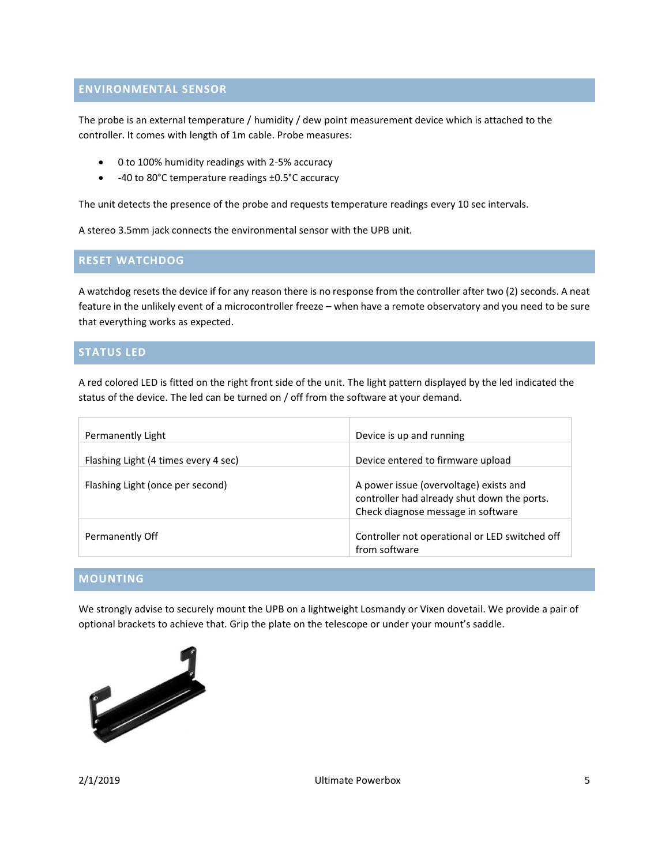#### **ENVIRONMENTAL SENSOR**

The probe is an external temperature / humidity / dew point measurement device which is attached to the controller. It comes with length of 1m cable. Probe measures:

- 0 to 100% humidity readings with 2-5% accuracy
- -40 to 80°C temperature readings ±0.5°C accuracy

The unit detects the presence of the probe and requests temperature readings every 10 sec intervals.

A stereo 3.5mm jack connects the environmental sensor with the UPB unit.

#### **RESET WATCHDOG**

A watchdog resets the device if for any reason there is no response from the controller after two (2) seconds. A neat feature in the unlikely event of a microcontroller freeze – when have a remote observatory and you need to be sure that everything works as expected.

#### **STATUS LED**

A red colored LED is fitted on the right front side of the unit. The light pattern displayed by the led indicated the status of the device. The led can be turned on / off from the software at your demand.

| Permanently Light                    | Device is up and running                                                                                                    |
|--------------------------------------|-----------------------------------------------------------------------------------------------------------------------------|
| Flashing Light (4 times every 4 sec) | Device entered to firmware upload                                                                                           |
| Flashing Light (once per second)     | A power issue (overvoltage) exists and<br>controller had already shut down the ports.<br>Check diagnose message in software |
| Permanently Off                      | Controller not operational or LED switched off<br>from software                                                             |

# **MOUNTING**

We strongly advise to securely mount the UPB on a lightweight Losmandy or Vixen dovetail. We provide a pair of optional brackets to achieve that. Grip the plate on the telescope or under your mount's saddle.

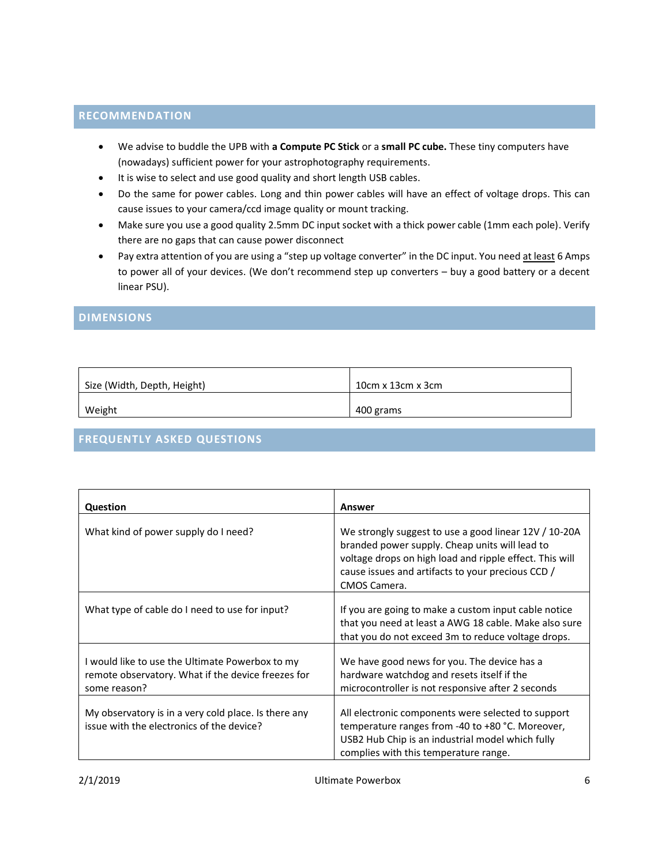## **RECOMMENDATION**

- We advise to buddle the UPB with **a Compute PC Stick** or a **small PC cube.** These tiny computers have (nowadays) sufficient power for your astrophotography requirements.
- It is wise to select and use good quality and short length USB cables.
- Do the same for power cables. Long and thin power cables will have an effect of voltage drops. This can cause issues to your camera/ccd image quality or mount tracking.
- Make sure you use a good quality 2.5mm DC input socket with a thick power cable (1mm each pole). Verify there are no gaps that can cause power disconnect
- Pay extra attention of you are using a "step up voltage converter" in the DC input. You need at least 6 Amps to power all of your devices. (We don't recommend step up converters – buy a good battery or a decent linear PSU).

#### **DIMENSIONS**

| Size (Width, Depth, Height) | $10cm \times 13cm \times 3cm$ |
|-----------------------------|-------------------------------|
| Weight                      | 400 grams                     |

# **FREQUENTLY ASKED QUESTIONS**

| Question                                                                                                              | Answer                                                                                                                                                                                                                                  |
|-----------------------------------------------------------------------------------------------------------------------|-----------------------------------------------------------------------------------------------------------------------------------------------------------------------------------------------------------------------------------------|
| What kind of power supply do I need?                                                                                  | We strongly suggest to use a good linear 12V / 10-20A<br>branded power supply. Cheap units will lead to<br>voltage drops on high load and ripple effect. This will<br>cause issues and artifacts to your precious CCD /<br>CMOS Camera. |
| What type of cable do I need to use for input?                                                                        | If you are going to make a custom input cable notice<br>that you need at least a AWG 18 cable. Make also sure<br>that you do not exceed 3m to reduce voltage drops.                                                                     |
| I would like to use the Ultimate Powerbox to my<br>remote observatory. What if the device freezes for<br>some reason? | We have good news for you. The device has a<br>hardware watchdog and resets itself if the<br>microcontroller is not responsive after 2 seconds                                                                                          |
| My observatory is in a very cold place. Is there any<br>issue with the electronics of the device?                     | All electronic components were selected to support<br>temperature ranges from -40 to +80 °C. Moreover,<br>USB2 Hub Chip is an industrial model which fully<br>complies with this temperature range.                                     |